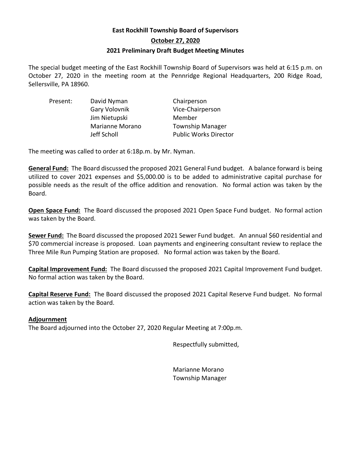# **East Rockhill Township Board of Supervisors October 27, 2020 2021 Preliminary Draft Budget Meeting Minutes**

The special budget meeting of the East Rockhill Township Board of Supervisors was held at 6:15 p.m. on October 27, 2020 in the meeting room at the Pennridge Regional Headquarters, 200 Ridge Road, Sellersville, PA 18960.

| Present: | David Nyman            | Chairperson                  |
|----------|------------------------|------------------------------|
|          | Gary Volovnik          | Vice-Chairperson             |
|          | Jim Nietupski          | Member                       |
|          | <b>Marianne Morano</b> | <b>Township Manager</b>      |
|          | Jeff Scholl            | <b>Public Works Director</b> |

The meeting was called to order at 6:18p.m. by Mr. Nyman.

**General Fund:** The Board discussed the proposed 2021 General Fund budget. A balance forward is being utilized to cover 2021 expenses and \$5,000.00 is to be added to administrative capital purchase for possible needs as the result of the office addition and renovation. No formal action was taken by the Board.

**Open Space Fund:** The Board discussed the proposed 2021 Open Space Fund budget. No formal action was taken by the Board.

**Sewer Fund:** The Board discussed the proposed 2021 Sewer Fund budget. An annual \$60 residential and \$70 commercial increase is proposed. Loan payments and engineering consultant review to replace the Three Mile Run Pumping Station are proposed. No formal action was taken by the Board.

**Capital Improvement Fund:** The Board discussed the proposed 2021 Capital Improvement Fund budget. No formal action was taken by the Board.

**Capital Reserve Fund:** The Board discussed the proposed 2021 Capital Reserve Fund budget. No formal action was taken by the Board.

# **Adjournment**

The Board adjourned into the October 27, 2020 Regular Meeting at 7:00p.m.

Respectfully submitted,

Marianne Morano Township Manager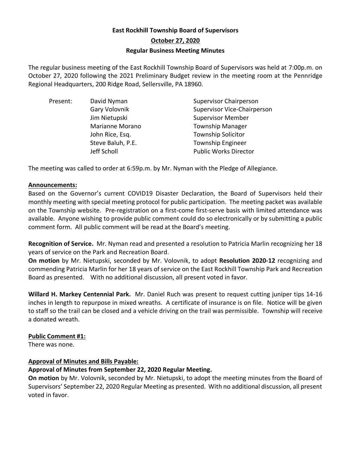# **East Rockhill Township Board of Supervisors October 27, 2020 Regular Business Meeting Minutes**

The regular business meeting of the East Rockhill Township Board of Supervisors was held at 7:00p.m. on October 27, 2020 following the 2021 Preliminary Budget review in the meeting room at the Pennridge Regional Headquarters, 200 Ridge Road, Sellersville, PA 18960.

| David Nyman       | <b>Supervisor Chairperson</b>      |
|-------------------|------------------------------------|
| Gary Volovnik     | <b>Supervisor Vice-Chairperson</b> |
| Jim Nietupski     | <b>Supervisor Member</b>           |
| Marianne Morano   | <b>Township Manager</b>            |
| John Rice, Esq.   | <b>Township Solicitor</b>          |
| Steve Baluh, P.E. | <b>Township Engineer</b>           |
| Jeff Scholl       | <b>Public Works Director</b>       |
|                   |                                    |

The meeting was called to order at 6:59p.m. by Mr. Nyman with the Pledge of Allegiance.

# **Announcements:**

Based on the Governor's current COVID19 Disaster Declaration, the Board of Supervisors held their monthly meeting with special meeting protocol for public participation. The meeting packet was available on the Township website. Pre-registration on a first-come first-serve basis with limited attendance was available. Anyone wishing to provide public comment could do so electronically or by submitting a public comment form. All public comment will be read at the Board's meeting.

**Recognition of Service.** Mr. Nyman read and presented a resolution to Patricia Marlin recognizing her 18 years of service on the Park and Recreation Board.

**On motion** by Mr. Nietupski, seconded by Mr. Volovnik, to adopt **Resolution 2020-12** recognizing and commending Patricia Marlin for her 18 years of service on the East Rockhill Township Park and Recreation Board as presented. With no additional discussion, all present voted in favor.

**Willard H. Markey Centennial Park.** Mr. Daniel Ruch was present to request cutting juniper tips 14-16 inches in length to repurpose in mixed wreaths. A certificate of insurance is on file. Notice will be given to staff so the trail can be closed and a vehicle driving on the trail was permissible. Township will receive a donated wreath.

# **Public Comment #1:**

There was none.

# **Approval of Minutes and Bills Payable:**

# **Approval of Minutes from September 22, 2020 Regular Meeting.**

**On motion** by Mr. Volovnik, seconded by Mr. Nietupski, to adopt the meeting minutes from the Board of Supervisors' September 22, 2020 Regular Meeting as presented. With no additional discussion, all present voted in favor.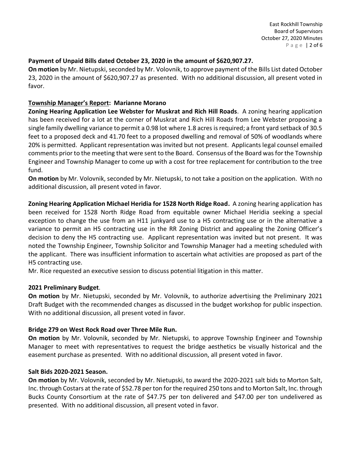# **Payment of Unpaid Bills dated October 23, 2020 in the amount of \$620,907.27.**

**On motion** by Mr. Nietupski, seconded by Mr. Volovnik, to approve payment of the Bills List dated October 23, 2020 in the amount of \$620,907.27 as presented. With no additional discussion, all present voted in favor.

## **Township Manager's Report: Marianne Morano**

**Zoning Hearing Application Lee Webster for Muskrat and Rich Hill Roads**. A zoning hearing application has been received for a lot at the corner of Muskrat and Rich Hill Roads from Lee Webster proposing a single family dwelling variance to permit a 0.98 lot where 1.8 acres is required; a front yard setback of 30.5 feet to a proposed deck and 41.70 feet to a proposed dwelling and removal of 50% of woodlands where 20% is permitted. Applicant representation was invited but not present. Applicants legal counsel emailed comments prior to the meeting that were sent to the Board. Consensus of the Board was for the Township Engineer and Township Manager to come up with a cost for tree replacement for contribution to the tree fund.

**On motion** by Mr. Volovnik, seconded by Mr. Nietupski, to not take a position on the application. With no additional discussion, all present voted in favor.

**Zoning Hearing Application Michael Heridia for 1528 North Ridge Road.** A zoning hearing application has been received for 1528 North Ridge Road from equitable owner Michael Heridia seeking a special exception to change the use from an H11 junkyard use to a H5 contracting use or in the alternative a variance to permit an H5 contracting use in the RR Zoning District and appealing the Zoning Officer's decision to deny the H5 contracting use. Applicant representation was invited but not present. It was noted the Township Engineer, Township Solicitor and Township Manager had a meeting scheduled with the applicant. There was insufficient information to ascertain what activities are proposed as part of the H5 contracting use.

Mr. Rice requested an executive session to discuss potential litigation in this matter.

## **2021 Preliminary Budget**.

**On motion** by Mr. Nietupski, seconded by Mr. Volovnik, to authorize advertising the Preliminary 2021 Draft Budget with the recommended changes as discussed in the budget workshop for public inspection. With no additional discussion, all present voted in favor.

# **Bridge 279 on West Rock Road over Three Mile Run.**

**On motion** by Mr. Volovnik, seconded by Mr. Nietupski, to approve Township Engineer and Township Manager to meet with representatives to request the bridge aesthetics be visually historical and the easement purchase as presented. With no additional discussion, all present voted in favor.

## **Salt Bids 2020-2021 Season.**

**On motion** by Mr. Volovnik, seconded by Mr. Nietupski, to award the 2020-2021 salt bids to Morton Salt, Inc. through Costars at the rate of \$52.78 per ton for the required 250 tons and to Morton Salt, Inc. through Bucks County Consortium at the rate of \$47.75 per ton delivered and \$47.00 per ton undelivered as presented. With no additional discussion, all present voted in favor.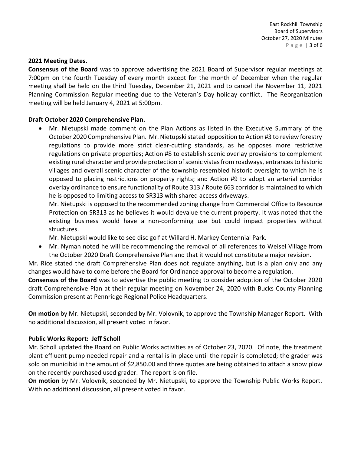#### **2021 Meeting Dates.**

**Consensus of the Board** was to approve advertising the 2021 Board of Supervisor regular meetings at 7:00pm on the fourth Tuesday of every month except for the month of December when the regular meeting shall be held on the third Tuesday, December 21, 2021 and to cancel the November 11, 2021 Planning Commission Regular meeting due to the Veteran's Day holiday conflict. The Reorganization meeting will be held January 4, 2021 at 5:00pm.

## **Draft October 2020 Comprehensive Plan.**

• Mr. Nietupski made comment on the Plan Actions as listed in the Executive Summary of the October 2020 Comprehensive Plan. Mr. Nietupski stated opposition to Action #3 to review forestry regulations to provide more strict clear-cutting standards, as he opposes more restrictive regulations on private properties; Action #8 to establish scenic overlay provisions to complement existing rural character and provide protection of scenic vistas from roadways, entrances to historic villages and overall scenic character of the township resembled historic oversight to which he is opposed to placing restrictions on property rights; and Action #9 to adopt an arterial corridor overlay ordinance to ensure functionality of Route 313 / Route 663 corridor is maintained to which he is opposed to limiting access to SR313 with shared access driveways.

Mr. Nietupski is opposed to the recommended zoning change from Commercial Office to Resource Protection on SR313 as he believes it would devalue the current property. It was noted that the existing business would have a non-conforming use but could impact properties without structures.

Mr. Nietupski would like to see disc golf at Willard H. Markey Centennial Park.

• Mr. Nyman noted he will be recommending the removal of all references to Weisel Village from the October 2020 Draft Comprehensive Plan and that it would not constitute a major revision.

Mr. Rice stated the draft Comprehensive Plan does not regulate anything, but is a plan only and any changes would have to come before the Board for Ordinance approval to become a regulation.

**Consensus of the Board** was to advertise the public meeting to consider adoption of the October 2020 draft Comprehensive Plan at their regular meeting on November 24, 2020 with Bucks County Planning Commission present at Pennridge Regional Police Headquarters.

**On motion** by Mr. Nietupski, seconded by Mr. Volovnik, to approve the Township Manager Report. With no additional discussion, all present voted in favor.

## **Public Works Report: Jeff Scholl**

Mr. Scholl updated the Board on Public Works activities as of October 23, 2020. Of note, the treatment plant effluent pump needed repair and a rental is in place until the repair is completed; the grader was sold on municibid in the amount of \$2,850.00 and three quotes are being obtained to attach a snow plow on the recently purchased used grader. The report is on file.

**On motion** by Mr. Volovnik, seconded by Mr. Nietupski, to approve the Township Public Works Report. With no additional discussion, all present voted in favor.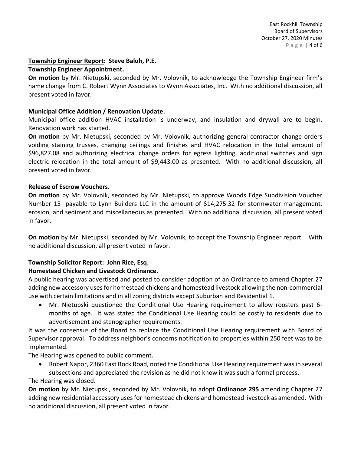## **Township Engineer Report: Steve Baluh, P.E.**

#### **Township Engineer Appointment.**

**On motion** by Mr. Nietupski, seconded by Mr. Volovnik, to acknowledge the Township Engineer firm's name change from C. Robert Wynn Associates to Wynn Associates, Inc. With no additional discussion, all present voted in favor.

## **Municipal Office Addition / Renovation Update.**

Municipal office addition HVAC installation is underway, and insulation and drywall are to begin. Renovation work has started.

**On motion** by Mr. Nietupski, seconded by Mr. Volovnik, authorizing general contractor change orders voiding staining trusses, changing ceilings and finishes and HVAC relocation in the total amount of \$96,827.08 and authorizing electrical change orders for egress lighting, additional switches and sign electric relocation in the total amount of \$9,443.00 as presented. With no additional discussion, all present voted in favor.

#### **Release of Escrow Vouchers.**

**On motion** by Mr. Volovnik, seconded by Mr. Nietupski, to approve Woods Edge Subdivision Voucher Number 15 payable to Lynn Builders LLC in the amount of \$14,275.32 for stormwater management, erosion, and sediment and miscellaneous as presented. With no additional discussion, all present voted in favor.

**On motion** by Mr. Nietupski, seconded by Mr. Volovnik, to accept the Township Engineer report. With no additional discussion, all present voted in favor.

## **Township Solicitor Report: John Rice, Esq.**

## **Homestead Chicken and Livestock Ordinance.**

A public hearing was advertised and posted to consider adoption of an Ordinance to amend Chapter 27 adding new accessory uses for homestead chickens and homestead livestock allowing the non-commercial use with certain limitations and in all zoning districts except Suburban and Residential 1.

• Mr. Nietupski questioned the Conditional Use Hearing requirement to allow roosters past 6 months of age. It was stated the Conditional Use Hearing could be costly to residents due to advertisement and stenographer requirements.

It was the consensus of the Board to replace the Conditional Use Hearing requirement with Board of Supervisor approval. To address neighbor's concerns notification to properties within 250 feet was to be implemented.

The Hearing was opened to public comment.

• Robert Napor, 2360 East Rock Road, noted the Conditional Use Hearing requirement was in several subsections and appreciated the revision as he did not know it was such a formal process.

The Hearing was closed.

**On motion** by Mr. Nietupski, seconded by Mr. Volovnik, to adopt **Ordinance 295** amending Chapter 27 adding new residential accessory uses for homestead chickens and homestead livestock as amended. With no additional discussion, all present voted in favor.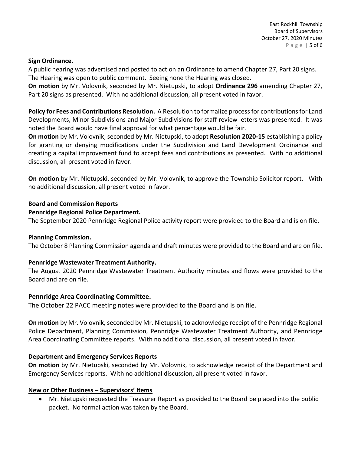#### **Sign Ordinance.**

A public hearing was advertised and posted to act on an Ordinance to amend Chapter 27, Part 20 signs. The Hearing was open to public comment. Seeing none the Hearing was closed.

**On motion** by Mr. Volovnik, seconded by Mr. Nietupski, to adopt **Ordinance 296** amending Chapter 27, Part 20 signs as presented. With no additional discussion, all present voted in favor.

**Policy for Fees and Contributions Resolution.** A Resolution to formalize process for contributions for Land Developments, Minor Subdivisions and Major Subdivisions for staff review letters was presented. It was noted the Board would have final approval for what percentage would be fair.

**On motion** by Mr. Volovnik, seconded by Mr. Nietupski, to adopt **Resolution 2020-15** establishing a policy for granting or denying modifications under the Subdivision and Land Development Ordinance and creating a capital improvement fund to accept fees and contributions as presented. With no additional discussion, all present voted in favor.

**On motion** by Mr. Nietupski, seconded by Mr. Volovnik, to approve the Township Solicitor report. With no additional discussion, all present voted in favor.

## **Board and Commission Reports**

#### **Pennridge Regional Police Department.**

The September 2020 Pennridge Regional Police activity report were provided to the Board and is on file.

## **Planning Commission.**

The October 8 Planning Commission agenda and draft minutes were provided to the Board and are on file.

## **Pennridge Wastewater Treatment Authority.**

The August 2020 Pennridge Wastewater Treatment Authority minutes and flows were provided to the Board and are on file.

## **Pennridge Area Coordinating Committee.**

The October 22 PACC meeting notes were provided to the Board and is on file.

**On motion** by Mr. Volovnik, seconded by Mr. Nietupski, to acknowledge receipt of the Pennridge Regional Police Department, Planning Commission, Pennridge Wastewater Treatment Authority, and Pennridge Area Coordinating Committee reports. With no additional discussion, all present voted in favor.

## **Department and Emergency Services Reports**

**On motion** by Mr. Nietupski, seconded by Mr. Volovnik, to acknowledge receipt of the Department and Emergency Services reports. With no additional discussion, all present voted in favor.

## **New or Other Business – Supervisors' Items**

• Mr. Nietupski requested the Treasurer Report as provided to the Board be placed into the public packet. No formal action was taken by the Board.